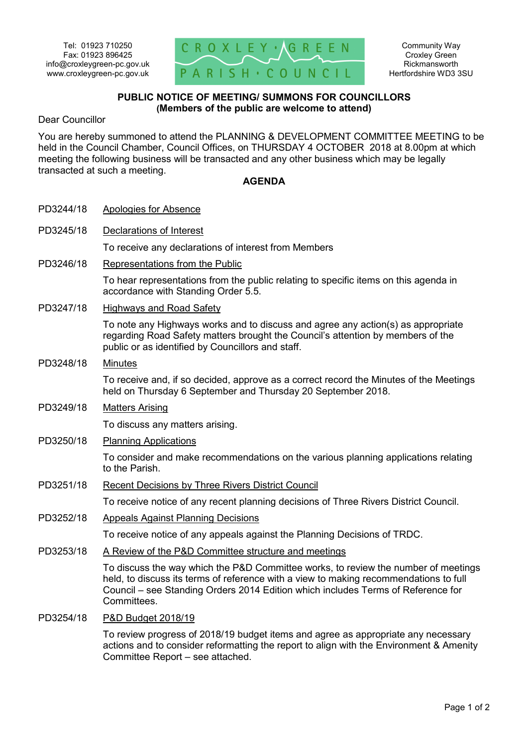

## **PUBLIC NOTICE OF MEETING/ SUMMONS FOR COUNCILLORS (Members of the public are welcome to attend)**

Dear Councillor

You are hereby summoned to attend the PLANNING & DEVELOPMENT COMMITTEE MEETING to be held in the Council Chamber, Council Offices, on THURSDAY 4 OCTOBER 2018 at 8.00pm at which meeting the following business will be transacted and any other business which may be legally transacted at such a meeting.

## **AGENDA**

| PD3244/18 | Apologies for Absence                                                                                                                                                                                                                                                          |
|-----------|--------------------------------------------------------------------------------------------------------------------------------------------------------------------------------------------------------------------------------------------------------------------------------|
| PD3245/18 | Declarations of Interest                                                                                                                                                                                                                                                       |
|           | To receive any declarations of interest from Members                                                                                                                                                                                                                           |
| PD3246/18 | Representations from the Public                                                                                                                                                                                                                                                |
|           | To hear representations from the public relating to specific items on this agenda in<br>accordance with Standing Order 5.5.                                                                                                                                                    |
| PD3247/18 | <b>Highways and Road Safety</b>                                                                                                                                                                                                                                                |
|           | To note any Highways works and to discuss and agree any action(s) as appropriate<br>regarding Road Safety matters brought the Council's attention by members of the<br>public or as identified by Councillors and staff.                                                       |
| PD3248/18 | <b>Minutes</b>                                                                                                                                                                                                                                                                 |
|           | To receive and, if so decided, approve as a correct record the Minutes of the Meetings<br>held on Thursday 6 September and Thursday 20 September 2018.                                                                                                                         |
| PD3249/18 | <b>Matters Arising</b>                                                                                                                                                                                                                                                         |
|           | To discuss any matters arising.                                                                                                                                                                                                                                                |
| PD3250/18 | <b>Planning Applications</b>                                                                                                                                                                                                                                                   |
|           | To consider and make recommendations on the various planning applications relating<br>to the Parish.                                                                                                                                                                           |
| PD3251/18 | <b>Recent Decisions by Three Rivers District Council</b>                                                                                                                                                                                                                       |
|           | To receive notice of any recent planning decisions of Three Rivers District Council.                                                                                                                                                                                           |
| PD3252/18 | <b>Appeals Against Planning Decisions</b>                                                                                                                                                                                                                                      |
|           | To receive notice of any appeals against the Planning Decisions of TRDC.                                                                                                                                                                                                       |
| PD3253/18 | A Review of the P&D Committee structure and meetings                                                                                                                                                                                                                           |
|           | To discuss the way which the P&D Committee works, to review the number of meetings<br>held, to discuss its terms of reference with a view to making recommendations to full<br>Council – see Standing Orders 2014 Edition which includes Terms of Reference for<br>Committees. |
| PD3254/18 | P&D Budget 2018/19                                                                                                                                                                                                                                                             |
|           | To review progress of 2018/19 budget items and agree as appropriate any necessary                                                                                                                                                                                              |

actions and to consider reformatting the report to align with the Environment & Amenity Committee Report – see attached.